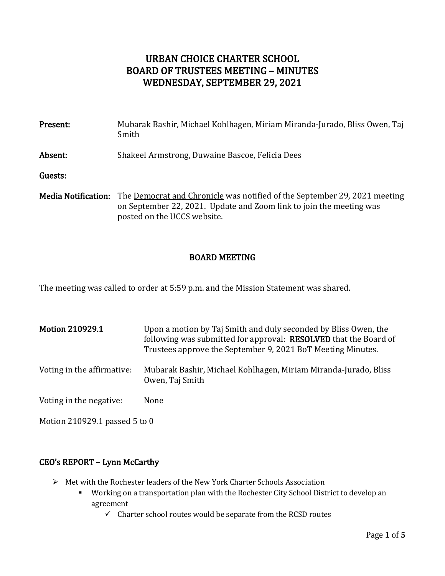# URBAN CHOICE CHARTER SCHOOL BOARD OF TRUSTEES MEETING – MINUTES WEDNESDAY, SEPTEMBER 29, 2021

| Present:                   | Mubarak Bashir, Michael Kohlhagen, Miriam Miranda-Jurado, Bliss Owen, Taj<br>Smith                                                                                                     |
|----------------------------|----------------------------------------------------------------------------------------------------------------------------------------------------------------------------------------|
| Absent:                    | Shakeel Armstrong, Duwaine Bascoe, Felicia Dees                                                                                                                                        |
| Guests:                    |                                                                                                                                                                                        |
| <b>Media Notification:</b> | The <u>Democrat and Chronicle</u> was notified of the September 29, 2021 meeting<br>on September 22, 2021. Update and Zoom link to join the meeting was<br>posted on the UCCS website. |

### BOARD MEETING

The meeting was called to order at 5:59 p.m. and the Mission Statement was shared.

| <b>Motion 210929.1</b>     | Upon a motion by Taj Smith and duly seconded by Bliss Owen, the<br>following was submitted for approval: RESOLVED that the Board of<br>Trustees approve the September 9, 2021 BoT Meeting Minutes. |
|----------------------------|----------------------------------------------------------------------------------------------------------------------------------------------------------------------------------------------------|
| Voting in the affirmative: | Mubarak Bashir, Michael Kohlhagen, Miriam Miranda-Jurado, Bliss<br>Owen, Taj Smith                                                                                                                 |
| Voting in the negative:    | None                                                                                                                                                                                               |

Motion 210929.1 passed 5 to 0

## CEO's REPORT – Lynn McCarthy

- ➢ Met with the Rochester leaders of the New York Charter Schools Association
	- Working on a transportation plan with the Rochester City School District to develop an agreement
		- $\checkmark$  Charter school routes would be separate from the RCSD routes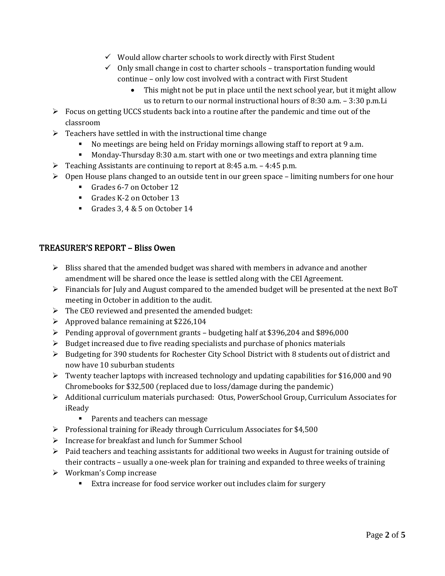- $\checkmark$  Would allow charter schools to work directly with First Student
- $\checkmark$  Only small change in cost to charter schools transportation funding would continue – only low cost involved with a contract with First Student
	- This might not be put in place until the next school year, but it might allow us to return to our normal instructional hours of 8:30 a.m. – 3:30 p.m.Li
- ➢ Focus on getting UCCS students back into a routine after the pandemic and time out of the classroom
- $\triangleright$  Teachers have settled in with the instructional time change
	- No meetings are being held on Friday mornings allowing staff to report at 9 a.m.
	- Monday-Thursday 8:30 a.m. start with one or two meetings and extra planning time
- $\triangleright$  Teaching Assistants are continuing to report at 8:45 a.m. 4:45 p.m.
- $\triangleright$  Open House plans changed to an outside tent in our green space limiting numbers for one hour
	- Grades 6-7 on October 12
	- Grades K-2 on October 13
	- Grades 3, 4 & 5 on October 14

## TREASURER'S REPORT – Bliss Owen

- ➢ Bliss shared that the amended budget was shared with members in advance and another amendment will be shared once the lease is settled along with the CEI Agreement.
- $\triangleright$  Financials for July and August compared to the amended budget will be presented at the next BoT meeting in October in addition to the audit.
- $\triangleright$  The CEO reviewed and presented the amended budget:
- $\triangleright$  Approved balance remaining at \$226,104
- $\triangleright$  Pending approval of government grants budgeting half at \$396,204 and \$896,000
- $\triangleright$  Budget increased due to five reading specialists and purchase of phonics materials
- ➢ Budgeting for 390 students for Rochester City School District with 8 students out of district and now have 10 suburban students
- ➢ Twenty teacher laptops with increased technology and updating capabilities for \$16,000 and 90 Chromebooks for \$32,500 (replaced due to loss/damage during the pandemic)
- ➢ Additional curriculum materials purchased: Otus, PowerSchool Group, Curriculum Associates for iReady
	- Parents and teachers can message
- $\triangleright$  Professional training for iReady through Curriculum Associates for \$4,500
- ➢ Increase for breakfast and lunch for Summer School
- $\triangleright$  Paid teachers and teaching assistants for additional two weeks in August for training outside of their contracts – usually a one-week plan for training and expanded to three weeks of training
- ➢ Workman's Comp increase
	- Extra increase for food service worker out includes claim for surgery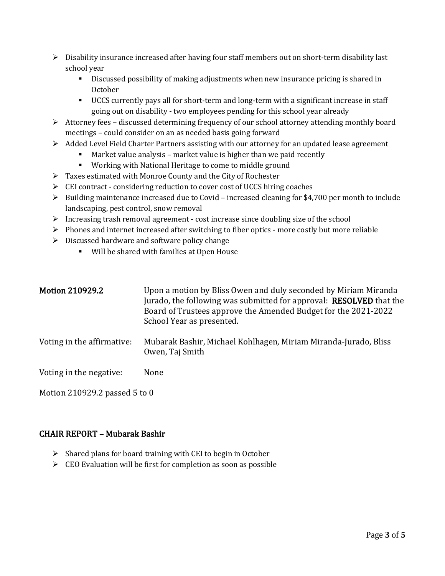- $\triangleright$  Disability insurance increased after having four staff members out on short-term disability last school year
	- **•** Discussed possibility of making adjustments when new insurance pricing is shared in October
	- UCCS currently pays all for short-term and long-term with a significant increase in staff going out on disability - two employees pending for this school year already
- $\triangleright$  Attorney fees discussed determining frequency of our school attorney attending monthly board meetings – could consider on an as needed basis going forward
- ➢ Added Level Field Charter Partners assisting with our attorney for an updated lease agreement
	- Market value analysis market value is higher than we paid recently
	- Working with National Heritage to come to middle ground
- ➢ Taxes estimated with Monroe County and the City of Rochester
- ➢ CEI contract considering reduction to cover cost of UCCS hiring coaches
- $\triangleright$  Building maintenance increased due to Covid increased cleaning for \$4,700 per month to include landscaping, pest control, snow removal
- $\triangleright$  Increasing trash removal agreement cost increase since doubling size of the school
- ➢ Phones and internet increased after switching to fiber optics more costly but more reliable
- $\triangleright$  Discussed hardware and software policy change
	- Will be shared with families at Open House

| <b>Motion 210929.2</b>     | Upon a motion by Bliss Owen and duly seconded by Miriam Miranda<br>Jurado, the following was submitted for approval: <b>RESOLVED</b> that the<br>Board of Trustees approve the Amended Budget for the 2021-2022<br>School Year as presented. |
|----------------------------|----------------------------------------------------------------------------------------------------------------------------------------------------------------------------------------------------------------------------------------------|
| Voting in the affirmative: | Mubarak Bashir, Michael Kohlhagen, Miriam Miranda-Jurado, Bliss<br>Owen, Taj Smith                                                                                                                                                           |
| Voting in the negative:    | None                                                                                                                                                                                                                                         |

Motion 210929.2 passed 5 to 0

### CHAIR REPORT – Mubarak Bashir

- $\triangleright$  Shared plans for board training with CEI to begin in October
- $\triangleright$  CEO Evaluation will be first for completion as soon as possible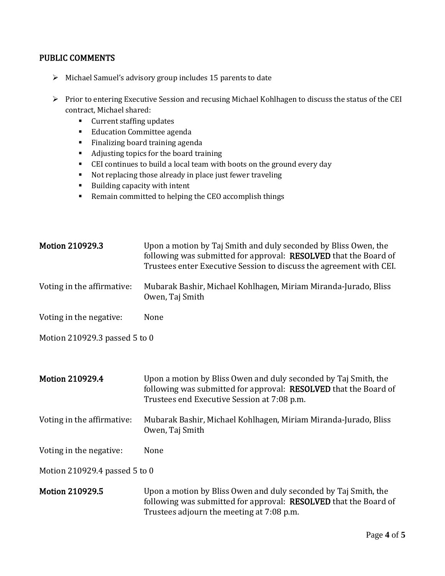#### PUBLIC COMMENTS

- ➢ Michael Samuel's advisory group includes 15 parents to date
- ➢ Prior to entering Executive Session and recusing Michael Kohlhagen to discuss the status of the CEI contract, Michael shared:
	- Current staffing updates
	- Education Committee agenda
	- Finalizing board training agenda
	- Adjusting topics for the board training
	- CEI continues to build a local team with boots on the ground every day
	- Not replacing those already in place just fewer traveling
	- Building capacity with intent
	- Remain committed to helping the CEO accomplish things

| <b>Motion 210929.3</b>        | Upon a motion by Taj Smith and duly seconded by Bliss Owen, the<br>following was submitted for approval: RESOLVED that the Board of<br>Trustees enter Executive Session to discuss the agreement with CEI. |  |
|-------------------------------|------------------------------------------------------------------------------------------------------------------------------------------------------------------------------------------------------------|--|
| Voting in the affirmative:    | Mubarak Bashir, Michael Kohlhagen, Miriam Miranda-Jurado, Bliss<br>Owen, Taj Smith                                                                                                                         |  |
| Voting in the negative:       | None                                                                                                                                                                                                       |  |
| Motion 210929.3 passed 5 to 0 |                                                                                                                                                                                                            |  |
|                               |                                                                                                                                                                                                            |  |
| <b>Motion 210929.4</b>        | Upon a motion by Bliss Owen and duly seconded by Taj Smith, the<br>following was submitted for approval: RESOLVED that the Board of<br>Trustees end Executive Session at 7:08 p.m.                         |  |
| Voting in the affirmative:    | Mubarak Bashir, Michael Kohlhagen, Miriam Miranda-Jurado, Bliss<br>Owen, Taj Smith                                                                                                                         |  |
| Voting in the negative:       | None                                                                                                                                                                                                       |  |
| Motion 210929.4 passed 5 to 0 |                                                                                                                                                                                                            |  |
| Motion 210929.5               | Upon a motion by Bliss Owen and duly seconded by Taj Smith, the<br>following was submitted for approval: <b>RESOLVED</b> that the Board of<br>Trustees adjourn the meeting at 7:08 p.m.                    |  |